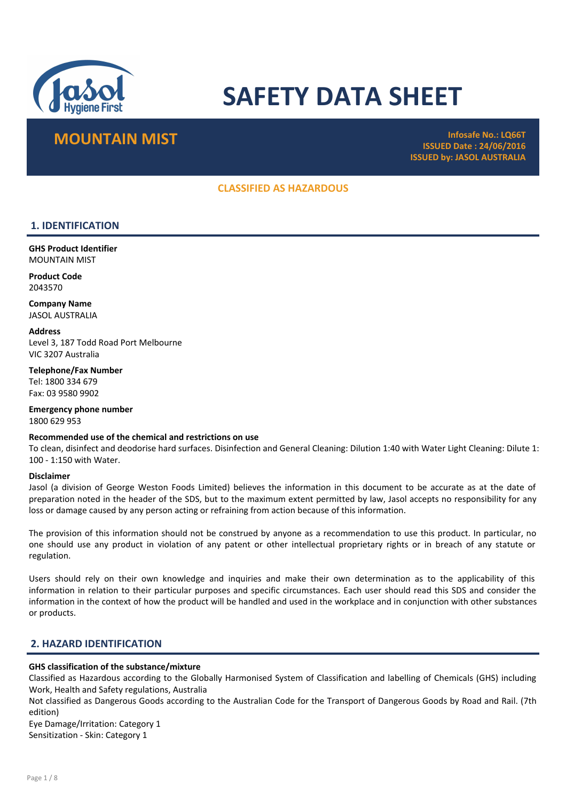

# SAFETY DATA SHEET

## MOUNTAIN MIST **Infosafe No.: LQ66T**

ISSUED Date : 24/06/2016 ISSUED by: JASOL AUSTRALIA

## CLASSIFIED AS HAZARDOUS

## 1. IDENTIFICATION

GHS Product Identifier MOUNTAIN MIST

Product Code 2043570

Company Name JASOL AUSTRALIA

**Address** Level 3, 187 Todd Road Port Melbourne VIC 3207 Australia

Telephone/Fax Number Tel: 1800 334 679 Fax: 03 9580 9902

Emergency phone number 1800 629 953

## Recommended use of the chemical and restrictions on use

To clean, disinfect and deodorise hard surfaces. Disinfection and General Cleaning: Dilution 1:40 with Water Light Cleaning: Dilute 1: 100 - 1:150 with Water.

#### Disclaimer

Jasol (a division of George Weston Foods Limited) believes the information in this document to be accurate as at the date of preparation noted in the header of the SDS, but to the maximum extent permitted by law, Jasol accepts no responsibility for any loss or damage caused by any person acting or refraining from action because of this information.

The provision of this information should not be construed by anyone as a recommendation to use this product. In particular, no one should use any product in violation of any patent or other intellectual proprietary rights or in breach of any statute or regulation.

Users should rely on their own knowledge and inquiries and make their own determination as to the applicability of this information in relation to their particular purposes and specific circumstances. Each user should read this SDS and consider the information in the context of how the product will be handled and used in the workplace and in conjunction with other substances or products.

## 2. HAZARD IDENTIFICATION

## GHS classification of the substance/mixture

Classified as Hazardous according to the Globally Harmonised System of Classification and labelling of Chemicals (GHS) including Work, Health and Safety regulations, Australia

Not classified as Dangerous Goods according to the Australian Code for the Transport of Dangerous Goods by Road and Rail. (7th edition)

Eye Damage/Irritation: Category 1 Sensitization - Skin: Category 1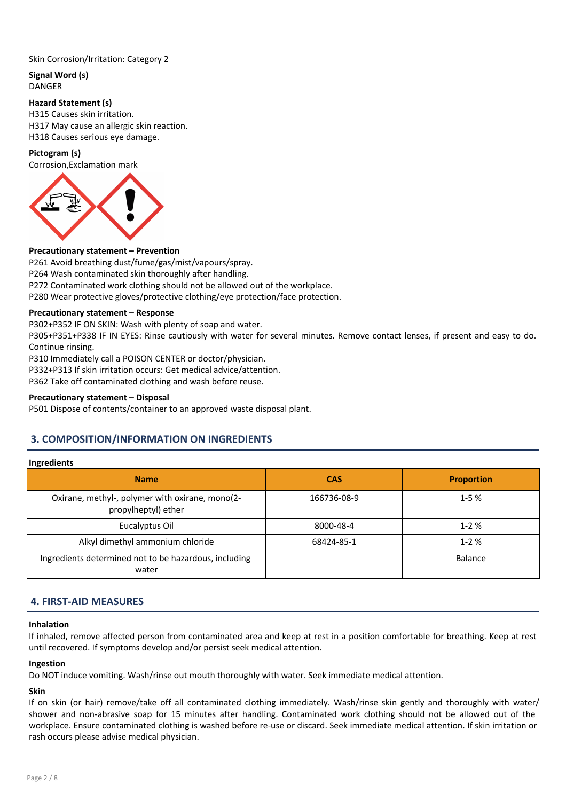## Skin Corrosion/Irritation: Category 2

Signal Word (s) DANGER

## Hazard Statement (s)

H315 Causes skin irritation. H317 May cause an allergic skin reaction. H318 Causes serious eye damage.

## Pictogram (s)

Corrosion,Exclamation mark



## Precautionary statement – Prevention

P261 Avoid breathing dust/fume/gas/mist/vapours/spray. P264 Wash contaminated skin thoroughly after handling. P272 Contaminated work clothing should not be allowed out of the workplace. P280 Wear protective gloves/protective clothing/eye protection/face protection.

## Precautionary statement – Response

P302+P352 IF ON SKIN: Wash with plenty of soap and water.

P305+P351+P338 IF IN EYES: Rinse cautiously with water for several minutes. Remove contact lenses, if present and easy to do. Continue rinsing.

P310 Immediately call a POISON CENTER or doctor/physician.

P332+P313 If skin irritation occurs: Get medical advice/attention.

P362 Take off contaminated clothing and wash before reuse.

## Precautionary statement – Disposal

P501 Dispose of contents/container to an approved waste disposal plant.

## 3. COMPOSITION/INFORMATION ON INGREDIENTS

### Ingredients

| <b>Name</b>                                                            | <b>CAS</b>  | <b>Proportion</b> |
|------------------------------------------------------------------------|-------------|-------------------|
| Oxirane, methyl-, polymer with oxirane, mono(2-<br>propylheptyl) ether | 166736-08-9 | $1 - 5%$          |
| Eucalyptus Oil                                                         | 8000-48-4   | $1 - 2%$          |
| Alkyl dimethyl ammonium chloride                                       | 68424-85-1  | $1 - 2%$          |
| Ingredients determined not to be hazardous, including<br>water         |             | Balance           |

## 4. FIRST-AID MEASURES

#### Inhalation

If inhaled, remove affected person from contaminated area and keep at rest in a position comfortable for breathing. Keep at rest until recovered. If symptoms develop and/or persist seek medical attention.

#### Ingestion

Do NOT induce vomiting. Wash/rinse out mouth thoroughly with water. Seek immediate medical attention.

## Skin

If on skin (or hair) remove/take off all contaminated clothing immediately. Wash/rinse skin gently and thoroughly with water/ shower and non-abrasive soap for 15 minutes after handling. Contaminated work clothing should not be allowed out of the workplace. Ensure contaminated clothing is washed before re-use or discard. Seek immediate medical attention. If skin irritation or rash occurs please advise medical physician.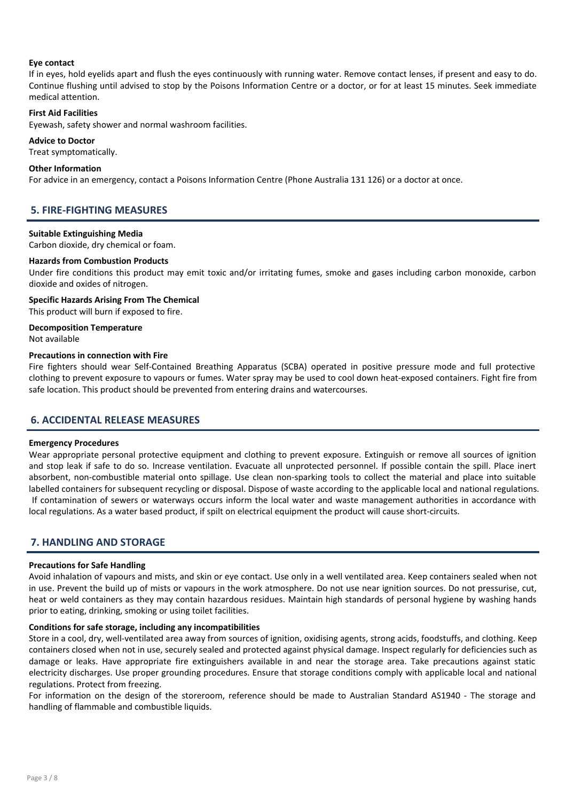## Eye contact

If in eyes, hold eyelids apart and flush the eyes continuously with running water. Remove contact lenses, if present and easy to do. Continue flushing until advised to stop by the Poisons Information Centre or a doctor, or for at least 15 minutes. Seek immediate medical attention.

### First Aid Facilities

Eyewash, safety shower and normal washroom facilities.

### Advice to Doctor

Treat symptomatically.

### Other Information

For advice in an emergency, contact a Poisons Information Centre (Phone Australia 131 126) or a doctor at once.

## 5. FIRE-FIGHTING MEASURES

### Suitable Extinguishing Media

Carbon dioxide, dry chemical or foam.

## Hazards from Combustion Products

Under fire conditions this product may emit toxic and/or irritating fumes, smoke and gases including carbon monoxide, carbon dioxide and oxides of nitrogen.

## Specific Hazards Arising From The Chemical This product will burn if exposed to fire.

Decomposition Temperature Not available

### Precautions in connection with Fire

Fire fighters should wear Self-Contained Breathing Apparatus (SCBA) operated in positive pressure mode and full protective clothing to prevent exposure to vapours or fumes. Water spray may be used to cool down heat-exposed containers. Fight fire from safe location. This product should be prevented from entering drains and watercourses.

## 6. ACCIDENTAL RELEASE MEASURES

## Emergency Procedures

Wear appropriate personal protective equipment and clothing to prevent exposure. Extinguish or remove all sources of ignition and stop leak if safe to do so. Increase ventilation. Evacuate all unprotected personnel. If possible contain the spill. Place inert absorbent, non-combustible material onto spillage. Use clean non-sparking tools to collect the material and place into suitable labelled containers for subsequent recycling or disposal. Dispose of waste according to the applicable local and national regulations. If contamination of sewers or waterways occurs inform the local water and waste management authorities in accordance with local regulations. As a water based product, if spilt on electrical equipment the product will cause short-circuits.

## 7. HANDLING AND STORAGE

#### Precautions for Safe Handling

Avoid inhalation of vapours and mists, and skin or eye contact. Use only in a well ventilated area. Keep containers sealed when not in use. Prevent the build up of mists or vapours in the work atmosphere. Do not use near ignition sources. Do not pressurise, cut, heat or weld containers as they may contain hazardous residues. Maintain high standards of personal hygiene by washing hands prior to eating, drinking, smoking or using toilet facilities.

## Conditions for safe storage, including any incompatibilities

Store in a cool, dry, well-ventilated area away from sources of ignition, oxidising agents, strong acids, foodstuffs, and clothing. Keep containers closed when not in use, securely sealed and protected against physical damage. Inspect regularly for deficiencies such as damage or leaks. Have appropriate fire extinguishers available in and near the storage area. Take precautions against static electricity discharges. Use proper grounding procedures. Ensure that storage conditions comply with applicable local and national regulations. Protect from freezing.

For information on the design of the storeroom, reference should be made to Australian Standard AS1940 - The storage and handling of flammable and combustible liquids.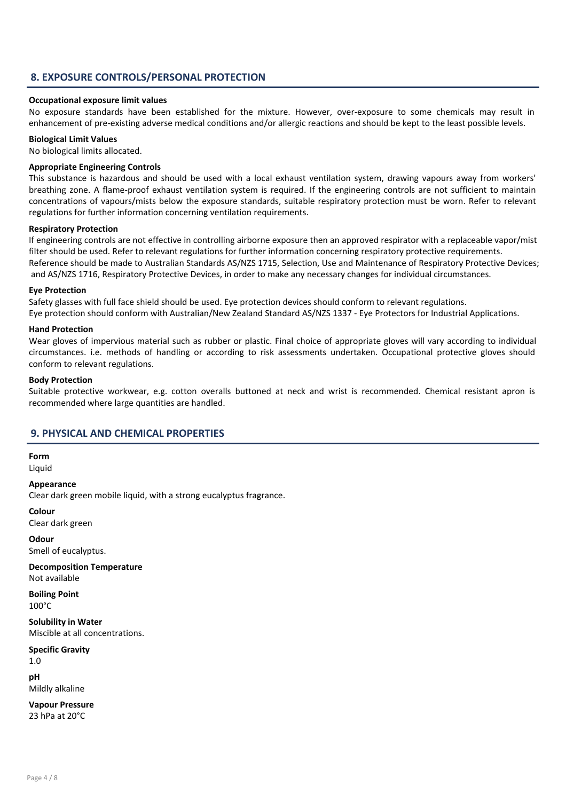## 8. EXPOSURE CONTROLS/PERSONAL PROTECTION

#### Occupational exposure limit values

No exposure standards have been established for the mixture. However, over-exposure to some chemicals may result in enhancement of pre-existing adverse medical conditions and/or allergic reactions and should be kept to the least possible levels.

## Biological Limit Values

No biological limits allocated.

### Appropriate Engineering Controls

This substance is hazardous and should be used with a local exhaust ventilation system, drawing vapours away from workers' breathing zone. A flame-proof exhaust ventilation system is required. If the engineering controls are not sufficient to maintain concentrations of vapours/mists below the exposure standards, suitable respiratory protection must be worn. Refer to relevant regulations for further information concerning ventilation requirements.

#### Respiratory Protection

If engineering controls are not effective in controlling airborne exposure then an approved respirator with a replaceable vapor/mist filter should be used. Refer to relevant regulations for further information concerning respiratory protective requirements. Reference should be made to Australian Standards AS/NZS 1715, Selection, Use and Maintenance of Respiratory Protective Devices; and AS/NZS 1716, Respiratory Protective Devices, in order to make any necessary changes for individual circumstances.

### Eye Protection

Safety glasses with full face shield should be used. Eye protection devices should conform to relevant regulations.

Eye protection should conform with Australian/New Zealand Standard AS/NZS 1337 - Eye Protectors for Industrial Applications.

## Hand Protection

Wear gloves of impervious material such as rubber or plastic. Final choice of appropriate gloves will vary according to individual circumstances. i.e. methods of handling or according to risk assessments undertaken. Occupational protective gloves should conform to relevant regulations.

#### Body Protection

Suitable protective workwear, e.g. cotton overalls buttoned at neck and wrist is recommended. Chemical resistant apron is recommended where large quantities are handled.

## 9. PHYSICAL AND CHEMICAL PROPERTIES

Form

Liquid

Appearance

Clear dark green mobile liquid, with a strong eucalyptus fragrance.

Colour Clear dark green

Odour Smell of eucalyptus.

Decomposition Temperature Not available

Boiling Point 100°C

Solubility in Water Miscible at all concentrations.

Specific Gravity 1.0

pH Mildly alkaline

Vapour Pressure 23 hPa at 20°C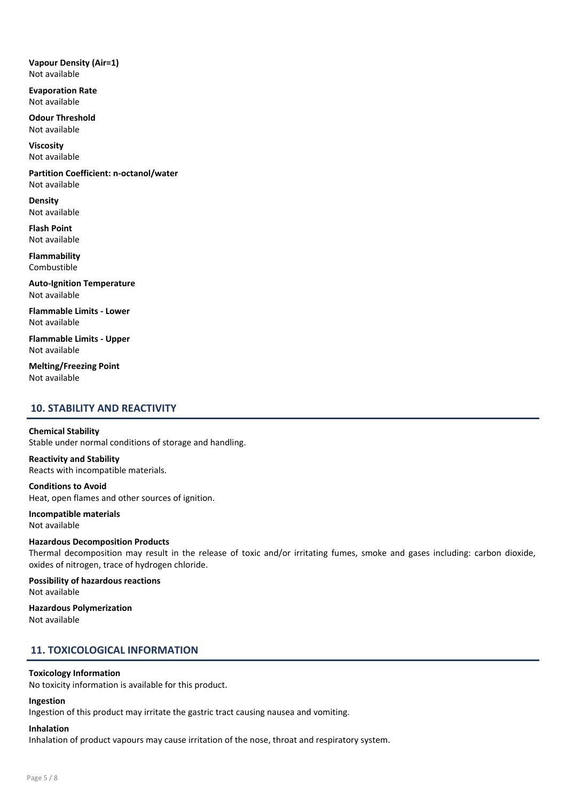Vapour Density (Air=1) Not available

Evaporation Rate Not available

Odour Threshold Not available

Viscosity Not available

Partition Coefficient: n-octanol/water Not available

Density Not available

Flash Point Not available

Flammability Combustible

Auto-Ignition Temperature Not available

Flammable Limits - Lower Not available

Flammable Limits - Upper Not available

Melting/Freezing Point Not available

## 10. STABILITY AND REACTIVITY

## Chemical Stability

Stable under normal conditions of storage and handling.

## Reactivity and Stability

Reacts with incompatible materials.

Conditions to Avoid Heat, open flames and other sources of ignition.

Incompatible materials Not available

#### Hazardous Decomposition Products

Thermal decomposition may result in the release of toxic and/or irritating fumes, smoke and gases including: carbon dioxide, oxides of nitrogen, trace of hydrogen chloride.

Possibility of hazardous reactions Not available

Hazardous Polymerization Not available

## 11. TOXICOLOGICAL INFORMATION

## Toxicology Information

No toxicity information is available for this product.

## Ingestion

Ingestion of this product may irritate the gastric tract causing nausea and vomiting.

## Inhalation

Inhalation of product vapours may cause irritation of the nose, throat and respiratory system.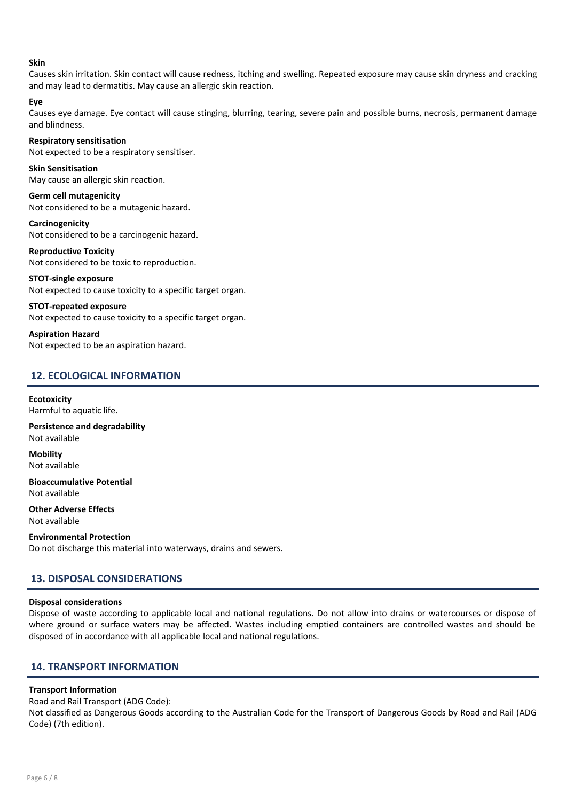## Skin

Causes skin irritation. Skin contact will cause redness, itching and swelling. Repeated exposure may cause skin dryness and cracking and may lead to dermatitis. May cause an allergic skin reaction.

## Eye

Causes eye damage. Eye contact will cause stinging, blurring, tearing, severe pain and possible burns, necrosis, permanent damage and blindness.

#### Respiratory sensitisation

Not expected to be a respiratory sensitiser.

## Skin Sensitisation

May cause an allergic skin reaction.

Germ cell mutagenicity Not considered to be a mutagenic hazard.

Carcinogenicity Not considered to be a carcinogenic hazard.

Reproductive Toxicity Not considered to be toxic to reproduction.

## STOT-single exposure

Not expected to cause toxicity to a specific target organ.

## STOT-repeated exposure

Not expected to cause toxicity to a specific target organ.

Aspiration Hazard Not expected to be an aspiration hazard.

## 12. ECOLOGICAL INFORMATION

## **Ecotoxicity**

Harmful to aquatic life.

Persistence and degradability Not available

Mobility Not available

Bioaccumulative Potential Not available

Other Adverse Effects Not available

Environmental Protection Do not discharge this material into waterways, drains and sewers.

## 13. DISPOSAL CONSIDERATIONS

## Disposal considerations

Dispose of waste according to applicable local and national regulations. Do not allow into drains or watercourses or dispose of where ground or surface waters may be affected. Wastes including emptied containers are controlled wastes and should be disposed of in accordance with all applicable local and national regulations.

## 14. TRANSPORT INFORMATION

## Transport Information

Road and Rail Transport (ADG Code):

Not classified as Dangerous Goods according to the Australian Code for the Transport of Dangerous Goods by Road and Rail (ADG Code) (7th edition).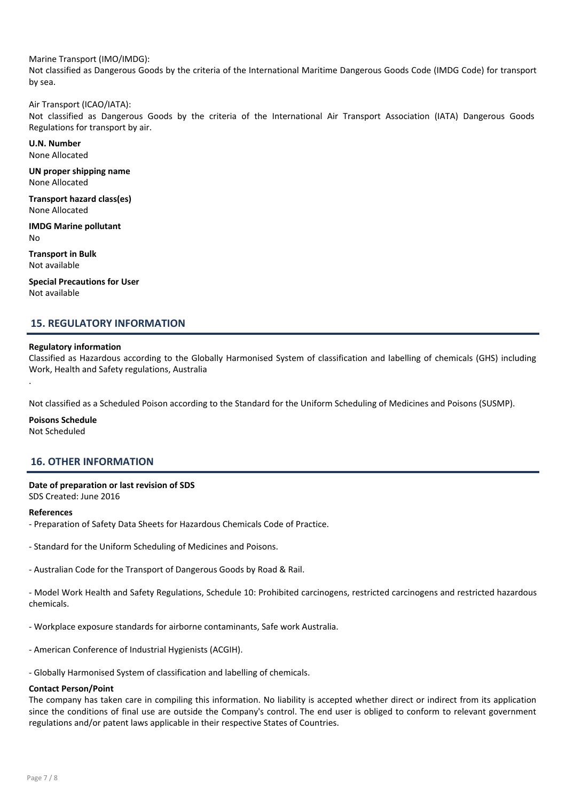## Marine Transport (IMO/IMDG):

Not classified as Dangerous Goods by the criteria of the International Maritime Dangerous Goods Code (IMDG Code) for transport by sea.

#### Air Transport (ICAO/IATA):

Not classified as Dangerous Goods by the criteria of the International Air Transport Association (IATA) Dangerous Goods Regulations for transport by air.

U.N. Number None Allocated

UN proper shipping name None Allocated

Transport hazard class(es) None Allocated

IMDG Marine pollutant No

Transport in Bulk Not available

Special Precautions for User Not available

## 15. REGULATORY INFORMATION

#### Regulatory information

Classified as Hazardous according to the Globally Harmonised System of classification and labelling of chemicals (GHS) including Work, Health and Safety regulations, Australia

.

Not classified as a Scheduled Poison according to the Standard for the Uniform Scheduling of Medicines and Poisons (SUSMP).

#### Poisons Schedule

Not Scheduled

## 16. OTHER INFORMATION

## Date of preparation or last revision of SDS

SDS Created: June 2016

#### References

- Preparation of Safety Data Sheets for Hazardous Chemicals Code of Practice.

- Standard for the Uniform Scheduling of Medicines and Poisons.

- Australian Code for the Transport of Dangerous Goods by Road & Rail.

- Model Work Health and Safety Regulations, Schedule 10: Prohibited carcinogens, restricted carcinogens and restricted hazardous chemicals.

- Workplace exposure standards for airborne contaminants, Safe work Australia.

- American Conference of Industrial Hygienists (ACGIH).

- Globally Harmonised System of classification and labelling of chemicals.

#### Contact Person/Point

The company has taken care in compiling this information. No liability is accepted whether direct or indirect from its application since the conditions of final use are outside the Company's control. The end user is obliged to conform to relevant government regulations and/or patent laws applicable in their respective States of Countries.